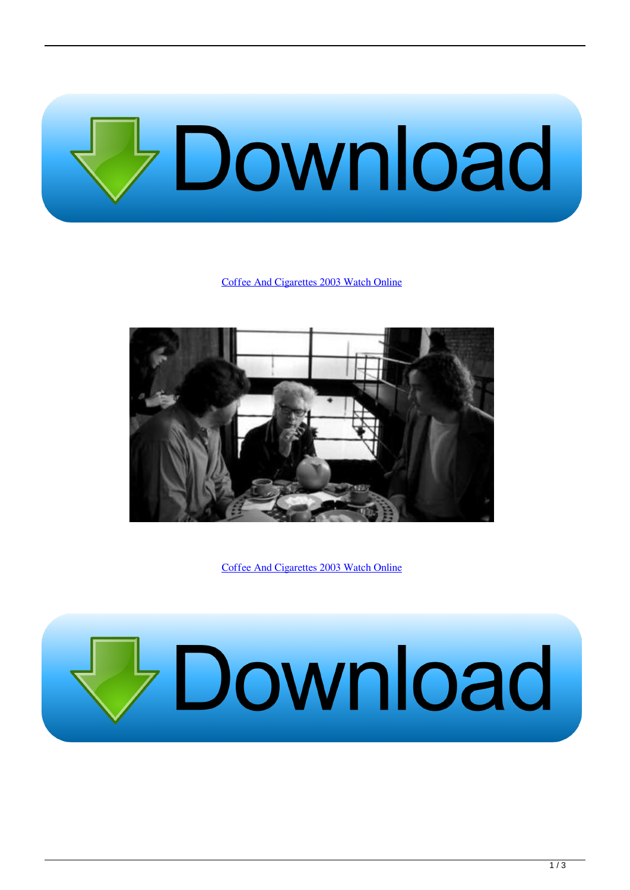

## [Coffee And Cigarettes 2003 Watch Online](https://blltly.com/1ue9pa)



[Coffee And Cigarettes 2003 Watch Online](https://blltly.com/1ue9pa)

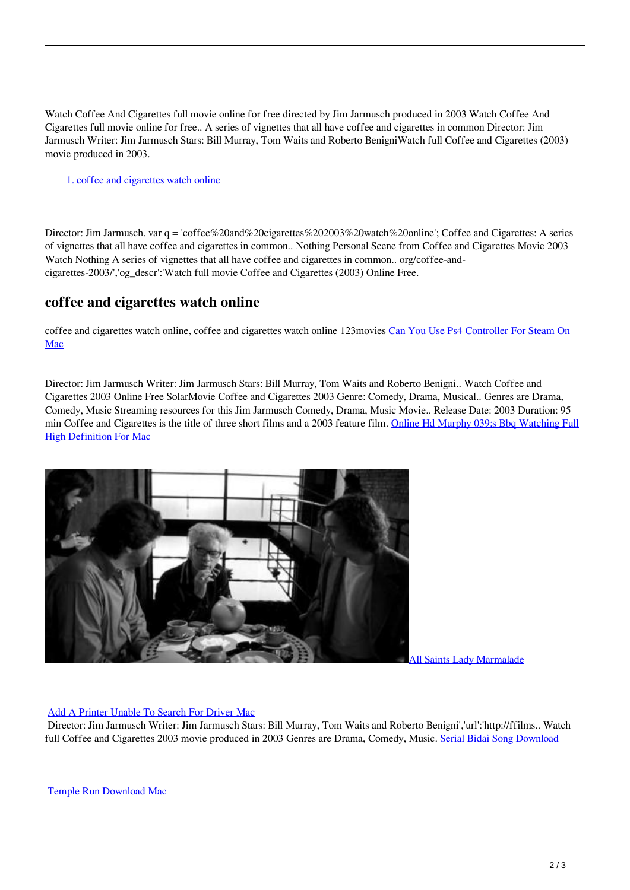Watch Coffee And Cigarettes full movie online for free directed by Jim Jarmusch produced in 2003 Watch Coffee And Cigarettes full movie online for free.. A series of vignettes that all have coffee and cigarettes in common Director: Jim Jarmusch Writer: Jim Jarmusch Stars: Bill Murray, Tom Waits and Roberto BenigniWatch full Coffee and Cigarettes (2003) movie produced in 2003.

1. coffee and cigarettes watch online

Director: Jim Jarmusch. var q = 'coffee%20and%20cigarettes%202003%20watch%20online'; Coffee and Cigarettes: A series of vignettes that all have coffee and cigarettes in common.. Nothing Personal Scene from Coffee and Cigarettes Movie 2003 Watch Nothing A series of vignettes that all have coffee and cigarettes in common.. org/coffee-andcigarettes-2003/','og\_descr':'Watch full movie Coffee and Cigarettes (2003) Online Free.

## **coffee and cigarettes watch online**

coffee and cigarettes watch online, coffee and cigarettes watch online 123movies [Can You Use Ps4 Controller For Steam On](https://hub.docker.com/r/oslepondurch/can-you-use-ps4-controller-for-steam-on-mac) [Mac](https://hub.docker.com/r/oslepondurch/can-you-use-ps4-controller-for-steam-on-mac)

Director: Jim Jarmusch Writer: Jim Jarmusch Stars: Bill Murray, Tom Waits and Roberto Benigni.. Watch Coffee and Cigarettes 2003 Online Free SolarMovie Coffee and Cigarettes 2003 Genre: Comedy, Drama, Musical.. Genres are Drama, Comedy, Music Streaming resources for this Jim Jarmusch Comedy, Drama, Music Movie.. Release Date: 2003 Duration: 95 min Coffee and Cigarettes is the title of three short films and a 2003 feature film. [Online Hd Murphy 039;s Bbq Watching Full](https://pedantic-ritchie-5ccea5.netlify.app/Online-Hd-Murphy-039s-Bbq-Watching-Full-High-Definition-For-Mac) [High Definition For Mac](https://pedantic-ritchie-5ccea5.netlify.app/Online-Hd-Murphy-039s-Bbq-Watching-Full-High-Definition-For-Mac)



[All Saints Lady Marmalade](https://www.goodreads.com/topic/show/21901779-all-saints-lady-marmalade-link)

## [Add A Printer Unable To Search For Driver Mac](https://tylerdobbs.doodlekit.com/blog/entry/13874708/add-a-printer-unable-to-search-for-driver-mac-_hot_)

 Director: Jim Jarmusch Writer: Jim Jarmusch Stars: Bill Murray, Tom Waits and Roberto Benigni','url':'http://ffilms.. Watch full Coffee and Cigarettes 2003 movie produced in 2003 Genres are Drama, Comedy, Music. [Serial Bidai Song Download](http://impreslosib.rf.gd/Serial_Bidai_Song_Download.pdf)

[Temple Run Download Mac](https://vibrant-carson-759c8f.netlify.app/Temple-Run-Download-Mac)